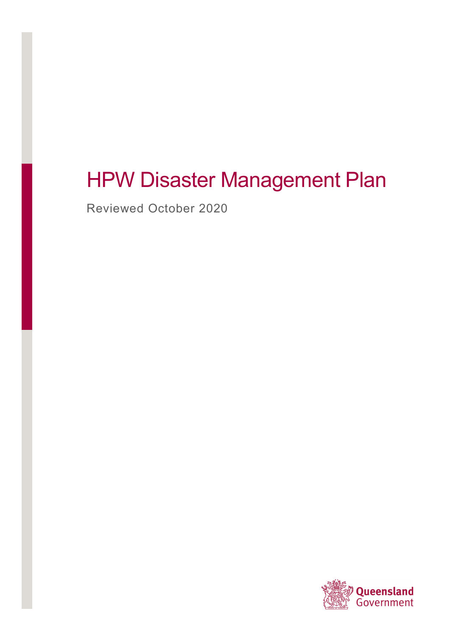# HPW Disaster Management Plan

Reviewed October 2020

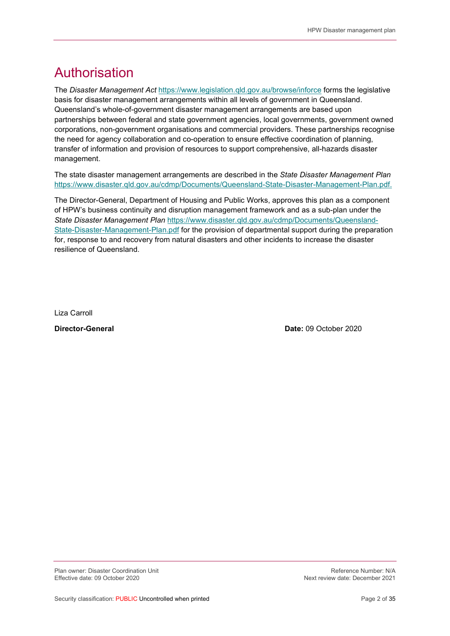## Authorisation

The Disaster Management Act https://www.legislation.qld.gov.au/browse/inforce forms the legislative basis for disaster management arrangements within all levels of government in Queensland. Queensland's whole-of-government disaster management arrangements are based upon partnerships between federal and state government agencies, local governments, government owned corporations, non-government organisations and commercial providers. These partnerships recognise the need for agency collaboration and co-operation to ensure effective coordination of planning, transfer of information and provision of resources to support comprehensive, all-hazards disaster management.

The state disaster management arrangements are described in the State Disaster Management Plan https://www.disaster.qld.gov.au/cdmp/Documents/Queensland-State-Disaster-Management-Plan.pdf.

The Director-General, Department of Housing and Public Works, approves this plan as a component of HPW's business continuity and disruption management framework and as a sub-plan under the State Disaster Management Plan https://www.disaster.qld.gov.au/cdmp/Documents/Queensland-State-Disaster-Management-Plan.pdf for the provision of departmental support during the preparation for, response to and recovery from natural disasters and other incidents to increase the disaster resilience of Queensland.

Liza Carroll

Director-General Date: 09 October 2020

Plan owner: Disaster Coordination Unit Network and the Section of the Section Perference Number: N/A<br>Reference Number: N/A Effective date: 09 October 2020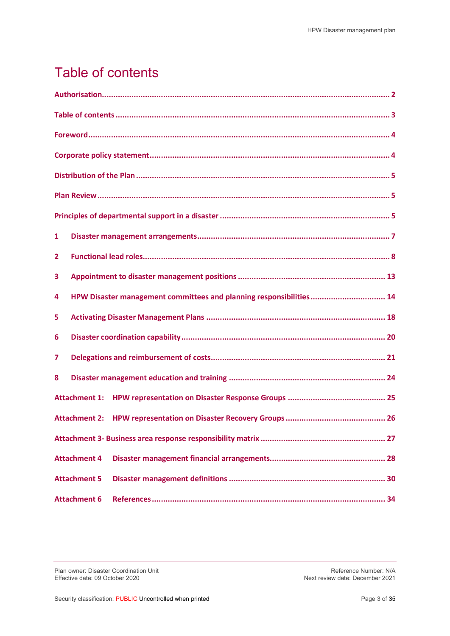## Table of contents

| 1                                                                        |
|--------------------------------------------------------------------------|
| 2                                                                        |
| 3                                                                        |
| HPW Disaster management committees and planning responsibilities 14<br>4 |
| 5                                                                        |
| 6                                                                        |
| 7                                                                        |
| 8                                                                        |
| <b>Attachment 1:</b>                                                     |
| <b>Attachment 2:</b>                                                     |
|                                                                          |
| <b>Attachment 4</b>                                                      |
| <b>Attachment 5</b>                                                      |
| <b>Attachment 6</b>                                                      |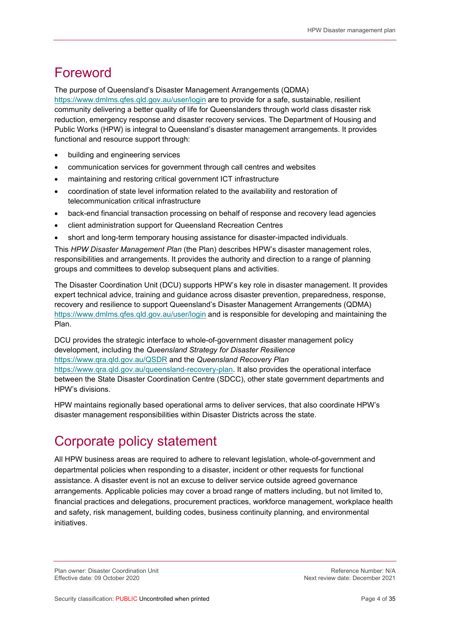## Foreword

The purpose of Queensland's Disaster Management Arrangements (QDMA)

https://www.dmlms.qfes.qld.gov.au/user/login are to provide for a safe, sustainable, resilient community delivering a better quality of life for Queenslanders through world class disaster risk reduction, emergency response and disaster recovery services. The Department of Housing and Public Works (HPW) is integral to Queensland's disaster management arrangements. It provides functional and resource support through:

- building and engineering services
- communication services for government through call centres and websites
- maintaining and restoring critical government ICT infrastructure
- coordination of state level information related to the availability and restoration of telecommunication critical infrastructure
- back-end financial transaction processing on behalf of response and recovery lead agencies
- client administration support for Queensland Recreation Centres
- short and long-term temporary housing assistance for disaster-impacted individuals.

This HPW Disaster Management Plan (the Plan) describes HPW's disaster management roles, responsibilities and arrangements. It provides the authority and direction to a range of planning groups and committees to develop subsequent plans and activities.

The Disaster Coordination Unit (DCU) supports HPW's key role in disaster management. It provides expert technical advice, training and guidance across disaster prevention, preparedness, response, recovery and resilience to support Queensland's Disaster Management Arrangements (QDMA) https://www.dmlms.qfes.qld.gov.au/user/login and is responsible for developing and maintaining the Plan.

DCU provides the strategic interface to whole-of-government disaster management policy development, including the Queensland Strategy for Disaster Resilience https://www.gra.gld.gov.au/QSDR and the Queensland Recovery Plan https://www.qra.qld.gov.au/queensland-recovery-plan. It also provides the operational interface between the State Disaster Coordination Centre (SDCC), other state government departments and HPW's divisions.

HPW maintains regionally based operational arms to deliver services, that also coordinate HPW's disaster management responsibilities within Disaster Districts across the state.

## Corporate policy statement

All HPW business areas are required to adhere to relevant legislation, whole-of-government and departmental policies when responding to a disaster, incident or other requests for functional assistance. A disaster event is not an excuse to deliver service outside agreed governance arrangements. Applicable policies may cover a broad range of matters including, but not limited to, financial practices and delegations, procurement practices, workforce management, workplace health and safety, risk management, building codes, business continuity planning, and environmental initiatives.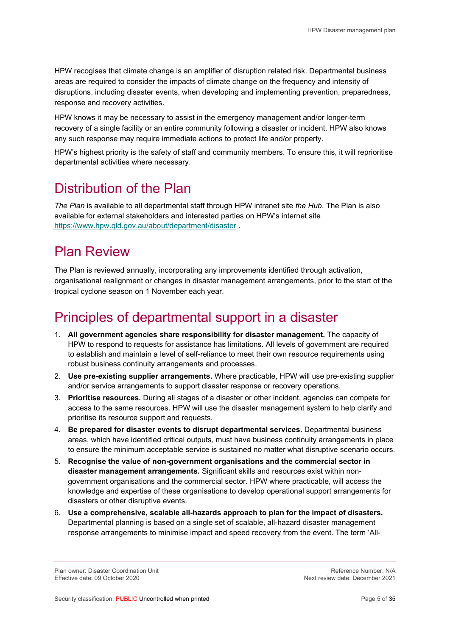HPW recogises that climate change is an amplifier of disruption related risk. Departmental business areas are required to consider the impacts of climate change on the frequency and intensity of disruptions, including disaster events, when developing and implementing prevention, preparedness, response and recovery activities.

HPW knows it may be necessary to assist in the emergency management and/or longer-term recovery of a single facility or an entire community following a disaster or incident. HPW also knows any such response may require immediate actions to protect life and/or property.

HPW's highest priority is the safety of staff and community members. To ensure this, it will reprioritise departmental activities where necessary.

## Distribution of the Plan

The Plan is available to all departmental staff through HPW intranet site the Hub. The Plan is also available for external stakeholders and interested parties on HPW's internet site https://www.hpw.qld.gov.au/about/department/disaster .

## Plan Review

The Plan is reviewed annually, incorporating any improvements identified through activation, organisational realignment or changes in disaster management arrangements, prior to the start of the tropical cyclone season on 1 November each year.

## Principles of departmental support in a disaster

- 1. All government agencies share responsibility for disaster management. The capacity of HPW to respond to requests for assistance has limitations. All levels of government are required to establish and maintain a level of self-reliance to meet their own resource requirements using robust business continuity arrangements and processes.
- 2. Use pre-existing supplier arrangements. Where practicable, HPW will use pre-existing supplier and/or service arrangements to support disaster response or recovery operations.
- 3. Prioritise resources. During all stages of a disaster or other incident, agencies can compete for access to the same resources. HPW will use the disaster management system to help clarify and prioritise its resource support and requests.
- 4. Be prepared for disaster events to disrupt departmental services. Departmental business areas, which have identified critical outputs, must have business continuity arrangements in place to ensure the minimum acceptable service is sustained no matter what disruptive scenario occurs.
- 5. Recognise the value of non-government organisations and the commercial sector in disaster management arrangements. Significant skills and resources exist within nongovernment organisations and the commercial sector. HPW where practicable, will access the knowledge and expertise of these organisations to develop operational support arrangements for disasters or other disruptive events.
- 6. Use a comprehensive, scalable all-hazards approach to plan for the impact of disasters. Departmental planning is based on a single set of scalable, all-hazard disaster management response arrangements to minimise impact and speed recovery from the event. The term 'All-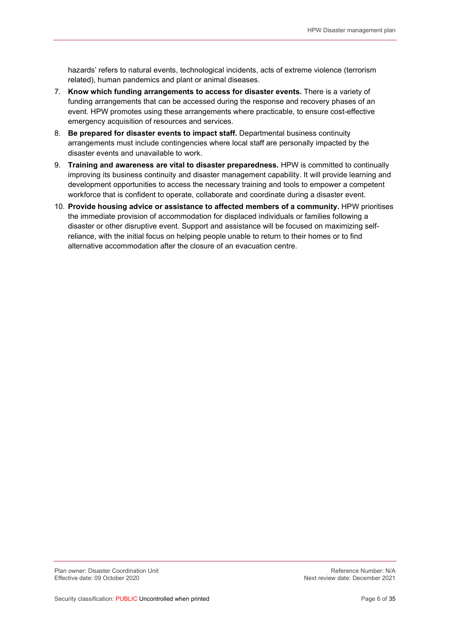hazards' refers to natural events, technological incidents, acts of extreme violence (terrorism related), human pandemics and plant or animal diseases.

- 7. Know which funding arrangements to access for disaster events. There is a variety of funding arrangements that can be accessed during the response and recovery phases of an event. HPW promotes using these arrangements where practicable, to ensure cost-effective emergency acquisition of resources and services.
- 8. Be prepared for disaster events to impact staff. Departmental business continuity arrangements must include contingencies where local staff are personally impacted by the disaster events and unavailable to work.
- 9. Training and awareness are vital to disaster preparedness. HPW is committed to continually improving its business continuity and disaster management capability. It will provide learning and development opportunities to access the necessary training and tools to empower a competent workforce that is confident to operate, collaborate and coordinate during a disaster event.
- 10. Provide housing advice or assistance to affected members of a community. HPW prioritises the immediate provision of accommodation for displaced individuals or families following a disaster or other disruptive event. Support and assistance will be focused on maximizing selfreliance, with the initial focus on helping people unable to return to their homes or to find alternative accommodation after the closure of an evacuation centre.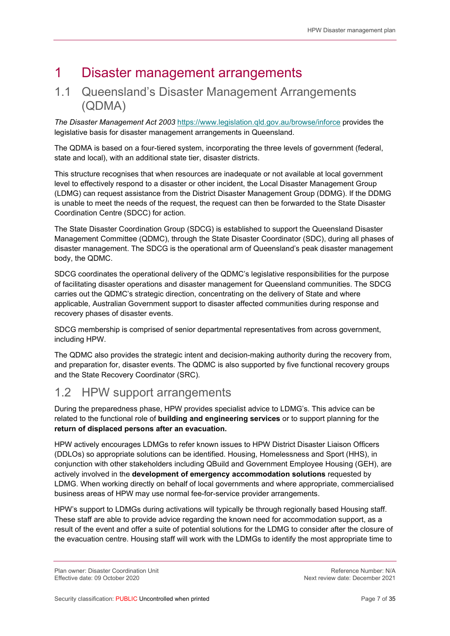## 1 Disaster management arrangements

#### 1.1 Queensland's Disaster Management Arrangements (QDMA)

The Disaster Management Act 2003 https://www.legislation.qld.gov.au/browse/inforce provides the legislative basis for disaster management arrangements in Queensland.

The QDMA is based on a four-tiered system, incorporating the three levels of government (federal, state and local), with an additional state tier, disaster districts.

This structure recognises that when resources are inadequate or not available at local government level to effectively respond to a disaster or other incident, the Local Disaster Management Group (LDMG) can request assistance from the District Disaster Management Group (DDMG). If the DDMG is unable to meet the needs of the request, the request can then be forwarded to the State Disaster Coordination Centre (SDCC) for action.

The State Disaster Coordination Group (SDCG) is established to support the Queensland Disaster Management Committee (QDMC), through the State Disaster Coordinator (SDC), during all phases of disaster management. The SDCG is the operational arm of Queensland's peak disaster management body, the QDMC.

SDCG coordinates the operational delivery of the QDMC's legislative responsibilities for the purpose of facilitating disaster operations and disaster management for Queensland communities. The SDCG carries out the QDMC's strategic direction, concentrating on the delivery of State and where applicable, Australian Government support to disaster affected communities during response and recovery phases of disaster events.

SDCG membership is comprised of senior departmental representatives from across government, including HPW.

The QDMC also provides the strategic intent and decision-making authority during the recovery from, and preparation for, disaster events. The QDMC is also supported by five functional recovery groups and the State Recovery Coordinator (SRC).

### 1.2 HPW support arrangements

During the preparedness phase, HPW provides specialist advice to LDMG's. This advice can be related to the functional role of **building and engineering services** or to support planning for the return of displaced persons after an evacuation.

HPW actively encourages LDMGs to refer known issues to HPW District Disaster Liaison Officers (DDLOs) so appropriate solutions can be identified. Housing, Homelessness and Sport (HHS), in conjunction with other stakeholders including QBuild and Government Employee Housing (GEH), are actively involved in the development of emergency accommodation solutions requested by LDMG. When working directly on behalf of local governments and where appropriate, commercialised business areas of HPW may use normal fee-for-service provider arrangements.

HPW's support to LDMGs during activations will typically be through regionally based Housing staff. These staff are able to provide advice regarding the known need for accommodation support, as a result of the event and offer a suite of potential solutions for the LDMG to consider after the closure of the evacuation centre. Housing staff will work with the LDMGs to identify the most appropriate time to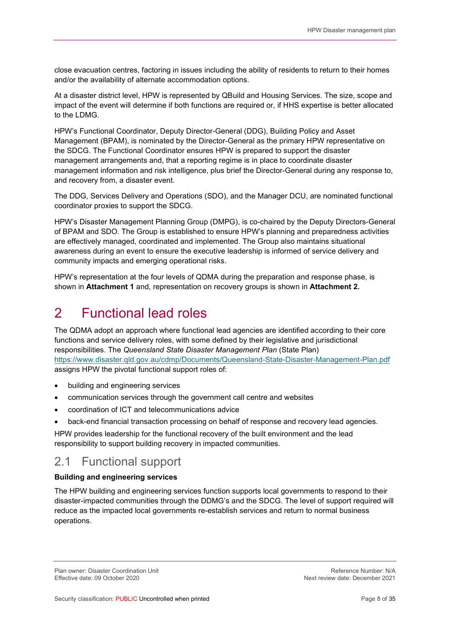close evacuation centres, factoring in issues including the ability of residents to return to their homes and/or the availability of alternate accommodation options.

At a disaster district level, HPW is represented by QBuild and Housing Services. The size, scope and impact of the event will determine if both functions are required or, if HHS expertise is better allocated to the LDMG.

HPW's Functional Coordinator, Deputy Director-General (DDG), Building Policy and Asset Management (BPAM), is nominated by the Director-General as the primary HPW representative on the SDCG. The Functional Coordinator ensures HPW is prepared to support the disaster management arrangements and, that a reporting regime is in place to coordinate disaster management information and risk intelligence, plus brief the Director-General during any response to, and recovery from, a disaster event.

The DDG, Services Delivery and Operations (SDO), and the Manager DCU, are nominated functional coordinator proxies to support the SDCG.

HPW's Disaster Management Planning Group (DMPG), is co-chaired by the Deputy Directors-General of BPAM and SDO. The Group is established to ensure HPW's planning and preparedness activities are effectively managed, coordinated and implemented. The Group also maintains situational awareness during an event to ensure the executive leadership is informed of service delivery and community impacts and emerging operational risks.

HPW's representation at the four levels of QDMA during the preparation and response phase, is shown in Attachment 1 and, representation on recovery groups is shown in Attachment 2.

## 2 Functional lead roles

The QDMA adopt an approach where functional lead agencies are identified according to their core functions and service delivery roles, with some defined by their legislative and jurisdictional responsibilities. The Queensland State Disaster Management Plan (State Plan) https://www.disaster.qld.gov.au/cdmp/Documents/Queensland-State-Disaster-Management-Plan.pdf assigns HPW the pivotal functional support roles of:

- building and engineering services
- communication services through the government call centre and websites
- coordination of ICT and telecommunications advice
- back-end financial transaction processing on behalf of response and recovery lead agencies.

HPW provides leadership for the functional recovery of the built environment and the lead responsibility to support building recovery in impacted communities.

#### 2.1 Functional support

#### Building and engineering services

The HPW building and engineering services function supports local governments to respond to their disaster-impacted communities through the DDMG's and the SDCG. The level of support required will reduce as the impacted local governments re-establish services and return to normal business operations.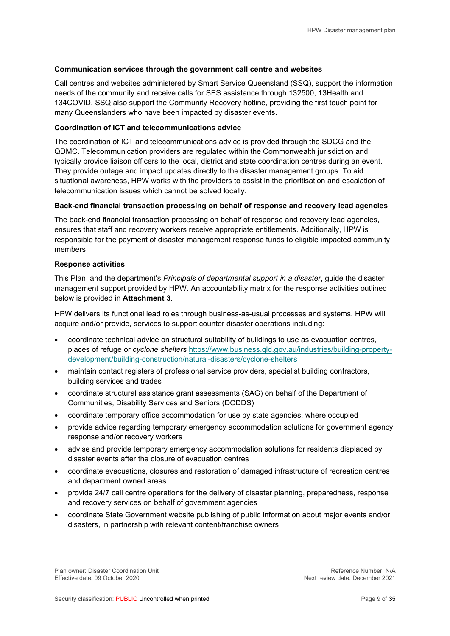#### Communication services through the government call centre and websites

Call centres and websites administered by Smart Service Queensland (SSQ), support the information needs of the community and receive calls for SES assistance through 132500, 13Health and 134COVID. SSQ also support the Community Recovery hotline, providing the first touch point for many Queenslanders who have been impacted by disaster events.

#### Coordination of ICT and telecommunications advice

The coordination of ICT and telecommunications advice is provided through the SDCG and the QDMC. Telecommunication providers are regulated within the Commonwealth jurisdiction and typically provide liaison officers to the local, district and state coordination centres during an event. They provide outage and impact updates directly to the disaster management groups. To aid situational awareness, HPW works with the providers to assist in the prioritisation and escalation of telecommunication issues which cannot be solved locally.

#### Back-end financial transaction processing on behalf of response and recovery lead agencies

The back-end financial transaction processing on behalf of response and recovery lead agencies, ensures that staff and recovery workers receive appropriate entitlements. Additionally, HPW is responsible for the payment of disaster management response funds to eligible impacted community members.

#### Response activities

This Plan, and the department's *Principals of departmental support in a disaster*, guide the disaster management support provided by HPW. An accountability matrix for the response activities outlined below is provided in Attachment 3.

HPW delivers its functional lead roles through business-as-usual processes and systems. HPW will acquire and/or provide, services to support counter disaster operations including:

- coordinate technical advice on structural suitability of buildings to use as evacuation centres, places of refuge or cyclone shelters https://www.business.qld.gov.au/industries/building-propertydevelopment/building-construction/natural-disasters/cyclone-shelters
- maintain contact registers of professional service providers, specialist building contractors, building services and trades
- coordinate structural assistance grant assessments (SAG) on behalf of the Department of Communities, Disability Services and Seniors (DCDDS)
- coordinate temporary office accommodation for use by state agencies, where occupied
- provide advice regarding temporary emergency accommodation solutions for government agency response and/or recovery workers
- advise and provide temporary emergency accommodation solutions for residents displaced by disaster events after the closure of evacuation centres
- coordinate evacuations, closures and restoration of damaged infrastructure of recreation centres and department owned areas
- provide 24/7 call centre operations for the delivery of disaster planning, preparedness, response and recovery services on behalf of government agencies
- coordinate State Government website publishing of public information about major events and/or disasters, in partnership with relevant content/franchise owners

Plan owner: Disaster Coordination Unit Network and Society and Society and Society Reference Number: N/A<br>1202 Effective date: 09 October 2020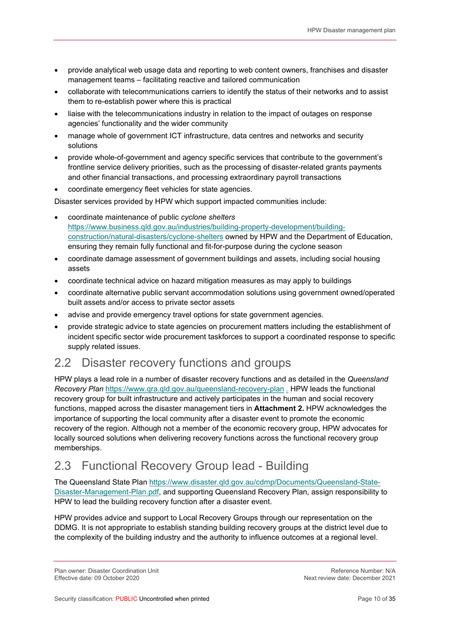- provide analytical web usage data and reporting to web content owners, franchises and disaster management teams – facilitating reactive and tailored communication
- collaborate with telecommunications carriers to identify the status of their networks and to assist them to re-establish power where this is practical
- liaise with the telecommunications industry in relation to the impact of outages on response agencies' functionality and the wider community
- manage whole of government ICT infrastructure, data centres and networks and security solutions
- provide whole-of-government and agency specific services that contribute to the government's frontline service delivery priorities, such as the processing of disaster-related grants payments and other financial transactions, and processing extraordinary payroll transactions
- coordinate emergency fleet vehicles for state agencies.

Disaster services provided by HPW which support impacted communities include:

- coordinate maintenance of public cyclone shelters https://www.business.qld.gov.au/industries/building-property-development/buildingconstruction/natural-disasters/cyclone-shelters owned by HPW and the Department of Education, ensuring they remain fully functional and fit-for-purpose during the cyclone season
- coordinate damage assessment of government buildings and assets, including social housing assets
- coordinate technical advice on hazard mitigation measures as may apply to buildings
- coordinate alternative public servant accommodation solutions using government owned/operated built assets and/or access to private sector assets
- advise and provide emergency travel options for state government agencies.
- provide strategic advice to state agencies on procurement matters including the establishment of incident specific sector wide procurement taskforces to support a coordinated response to specific supply related issues.

#### 2.2 Disaster recovery functions and groups

HPW plays a lead role in a number of disaster recovery functions and as detailed in the Queensland Recovery Plan https://www.qra.qld.gov.au/queensland-recovery-plan . HPW leads the functional recovery group for built infrastructure and actively participates in the human and social recovery functions, mapped across the disaster management tiers in Attachment 2. HPW acknowledges the importance of supporting the local community after a disaster event to promote the economic recovery of the region. Although not a member of the economic recovery group, HPW advocates for locally sourced solutions when delivering recovery functions across the functional recovery group memberships.

## 2.3 Functional Recovery Group lead - Building

The Queensland State Plan https://www.disaster.qld.gov.au/cdmp/Documents/Queensland-State-Disaster-Management-Plan.pdf, and supporting Queensland Recovery Plan, assign responsibility to HPW to lead the building recovery function after a disaster event.

HPW provides advice and support to Local Recovery Groups through our representation on the DDMG. It is not appropriate to establish standing building recovery groups at the district level due to the complexity of the building industry and the authority to influence outcomes at a regional level.

Plan owner: Disaster Coordination Unit Network and the Section of the Section Perference Number: N/A<br>Reference Number: N/A Effective date: 09 October 2020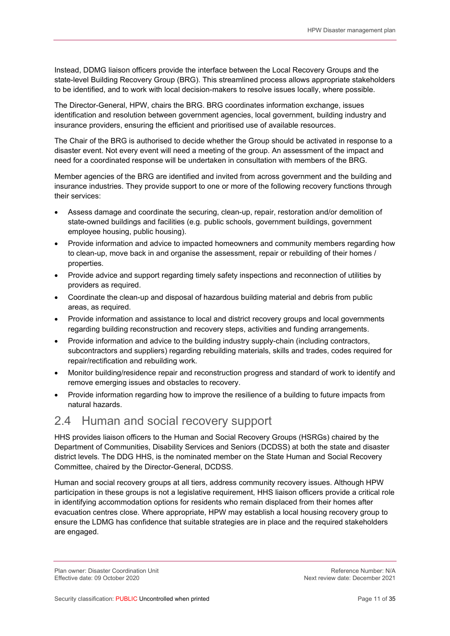Instead, DDMG liaison officers provide the interface between the Local Recovery Groups and the state-level Building Recovery Group (BRG). This streamlined process allows appropriate stakeholders to be identified, and to work with local decision-makers to resolve issues locally, where possible.

The Director-General, HPW, chairs the BRG. BRG coordinates information exchange, issues identification and resolution between government agencies, local government, building industry and insurance providers, ensuring the efficient and prioritised use of available resources.

The Chair of the BRG is authorised to decide whether the Group should be activated in response to a disaster event. Not every event will need a meeting of the group. An assessment of the impact and need for a coordinated response will be undertaken in consultation with members of the BRG.

Member agencies of the BRG are identified and invited from across government and the building and insurance industries. They provide support to one or more of the following recovery functions through their services:

- Assess damage and coordinate the securing, clean-up, repair, restoration and/or demolition of state-owned buildings and facilities (e.g. public schools, government buildings, government employee housing, public housing).
- Provide information and advice to impacted homeowners and community members regarding how to clean-up, move back in and organise the assessment, repair or rebuilding of their homes / properties.
- Provide advice and support regarding timely safety inspections and reconnection of utilities by providers as required.
- Coordinate the clean-up and disposal of hazardous building material and debris from public areas, as required.
- Provide information and assistance to local and district recovery groups and local governments regarding building reconstruction and recovery steps, activities and funding arrangements.
- Provide information and advice to the building industry supply-chain (including contractors, subcontractors and suppliers) regarding rebuilding materials, skills and trades, codes required for repair/rectification and rebuilding work.
- Monitor building/residence repair and reconstruction progress and standard of work to identify and remove emerging issues and obstacles to recovery.
- Provide information regarding how to improve the resilience of a building to future impacts from natural hazards.

#### 2.4 Human and social recovery support

HHS provides liaison officers to the Human and Social Recovery Groups (HSRGs) chaired by the Department of Communities, Disability Services and Seniors (DCDSS) at both the state and disaster district levels. The DDG HHS, is the nominated member on the State Human and Social Recovery Committee, chaired by the Director-General, DCDSS.

Human and social recovery groups at all tiers, address community recovery issues. Although HPW participation in these groups is not a legislative requirement, HHS liaison officers provide a critical role in identifying accommodation options for residents who remain displaced from their homes after evacuation centres close. Where appropriate, HPW may establish a local housing recovery group to ensure the LDMG has confidence that suitable strategies are in place and the required stakeholders are engaged.

Plan owner: Disaster Coordination Unit Network and Society and Society and Society Reference Number: N/A<br>1202 Effective date: 09 October 2020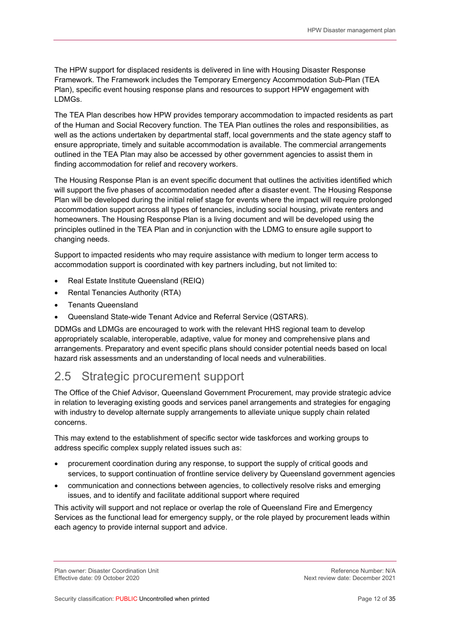The HPW support for displaced residents is delivered in line with Housing Disaster Response Framework. The Framework includes the Temporary Emergency Accommodation Sub-Plan (TEA Plan), specific event housing response plans and resources to support HPW engagement with LDMGs.

The TEA Plan describes how HPW provides temporary accommodation to impacted residents as part of the Human and Social Recovery function. The TEA Plan outlines the roles and responsibilities, as well as the actions undertaken by departmental staff, local governments and the state agency staff to ensure appropriate, timely and suitable accommodation is available. The commercial arrangements outlined in the TEA Plan may also be accessed by other government agencies to assist them in finding accommodation for relief and recovery workers.

The Housing Response Plan is an event specific document that outlines the activities identified which will support the five phases of accommodation needed after a disaster event. The Housing Response Plan will be developed during the initial relief stage for events where the impact will require prolonged accommodation support across all types of tenancies, including social housing, private renters and homeowners. The Housing Response Plan is a living document and will be developed using the principles outlined in the TEA Plan and in conjunction with the LDMG to ensure agile support to changing needs.

Support to impacted residents who may require assistance with medium to longer term access to accommodation support is coordinated with key partners including, but not limited to:

- Real Estate Institute Queensland (REIQ)
- Rental Tenancies Authority (RTA)
- Tenants Queensland
- Queensland State-wide Tenant Advice and Referral Service (QSTARS).

DDMGs and LDMGs are encouraged to work with the relevant HHS regional team to develop appropriately scalable, interoperable, adaptive, value for money and comprehensive plans and arrangements. Preparatory and event specific plans should consider potential needs based on local hazard risk assessments and an understanding of local needs and vulnerabilities.

### 2.5 Strategic procurement support

The Office of the Chief Advisor, Queensland Government Procurement, may provide strategic advice in relation to leveraging existing goods and services panel arrangements and strategies for engaging with industry to develop alternate supply arrangements to alleviate unique supply chain related concerns.

This may extend to the establishment of specific sector wide taskforces and working groups to address specific complex supply related issues such as:

- procurement coordination during any response, to support the supply of critical goods and services, to support continuation of frontline service delivery by Queensland government agencies
- communication and connections between agencies, to collectively resolve risks and emerging issues, and to identify and facilitate additional support where required

This activity will support and not replace or overlap the role of Queensland Fire and Emergency Services as the functional lead for emergency supply, or the role played by procurement leads within each agency to provide internal support and advice.

Plan owner: Disaster Coordination Unit Network and the Section of the Section Perference Number: N/A<br>Reference Number: N/A Effective date: 09 October 2020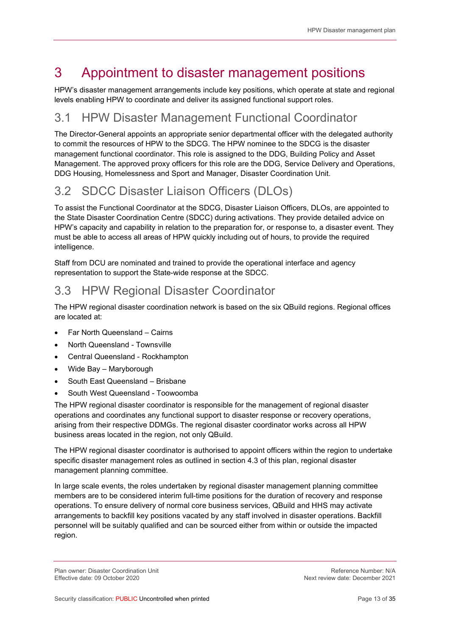## 3 Appointment to disaster management positions

HPW's disaster management arrangements include key positions, which operate at state and regional levels enabling HPW to coordinate and deliver its assigned functional support roles.

### 3.1 HPW Disaster Management Functional Coordinator

The Director-General appoints an appropriate senior departmental officer with the delegated authority to commit the resources of HPW to the SDCG. The HPW nominee to the SDCG is the disaster management functional coordinator. This role is assigned to the DDG, Building Policy and Asset Management. The approved proxy officers for this role are the DDG, Service Delivery and Operations, DDG Housing, Homelessness and Sport and Manager, Disaster Coordination Unit.

## 3.2 SDCC Disaster Liaison Officers (DLOs)

To assist the Functional Coordinator at the SDCG, Disaster Liaison Officers, DLOs, are appointed to the State Disaster Coordination Centre (SDCC) during activations. They provide detailed advice on HPW's capacity and capability in relation to the preparation for, or response to, a disaster event. They must be able to access all areas of HPW quickly including out of hours, to provide the required intelligence.

Staff from DCU are nominated and trained to provide the operational interface and agency representation to support the State-wide response at the SDCC.

### 3.3 HPW Regional Disaster Coordinator

The HPW regional disaster coordination network is based on the six QBuild regions. Regional offices are located at:

- Far North Queensland Cairns
- North Queensland Townsville
- Central Queensland Rockhampton
- Wide Bay Maryborough
- South East Queensland Brisbane
- South West Queensland Toowoomba

The HPW regional disaster coordinator is responsible for the management of regional disaster operations and coordinates any functional support to disaster response or recovery operations, arising from their respective DDMGs. The regional disaster coordinator works across all HPW business areas located in the region, not only QBuild.

The HPW regional disaster coordinator is authorised to appoint officers within the region to undertake specific disaster management roles as outlined in section 4.3 of this plan, regional disaster management planning committee.

In large scale events, the roles undertaken by regional disaster management planning committee members are to be considered interim full-time positions for the duration of recovery and response operations. To ensure delivery of normal core business services, QBuild and HHS may activate arrangements to backfill key positions vacated by any staff involved in disaster operations. Backfill personnel will be suitably qualified and can be sourced either from within or outside the impacted region.

Plan owner: Disaster Coordination Unit Network and the Section of the Section Perference Number: N/A<br>Reference Number: N/A Effective date: 09 October 2020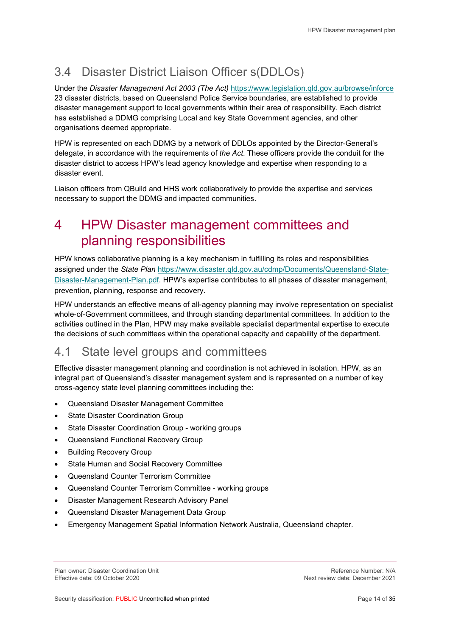## 3.4 Disaster District Liaison Officer s(DDLOs)

Under the Disaster Management Act 2003 (The Act) https://www.legislation.qld.gov.au/browse/inforce 23 disaster districts, based on Queensland Police Service boundaries, are established to provide disaster management support to local governments within their area of responsibility. Each district has established a DDMG comprising Local and key State Government agencies, and other organisations deemed appropriate.

HPW is represented on each DDMG by a network of DDLOs appointed by the Director-General's delegate, in accordance with the requirements of the Act. These officers provide the conduit for the disaster district to access HPW's lead agency knowledge and expertise when responding to a disaster event.

Liaison officers from QBuild and HHS work collaboratively to provide the expertise and services necessary to support the DDMG and impacted communities.

## 4 HPW Disaster management committees and planning responsibilities

HPW knows collaborative planning is a key mechanism in fulfilling its roles and responsibilities assigned under the State Plan https://www.disaster.qld.gov.au/cdmp/Documents/Queensland-State-Disaster-Management-Plan.pdf. HPW's expertise contributes to all phases of disaster management, prevention, planning, response and recovery.

HPW understands an effective means of all-agency planning may involve representation on specialist whole-of-Government committees, and through standing departmental committees. In addition to the activities outlined in the Plan, HPW may make available specialist departmental expertise to execute the decisions of such committees within the operational capacity and capability of the department.

### 4.1 State level groups and committees

Effective disaster management planning and coordination is not achieved in isolation. HPW, as an integral part of Queensland's disaster management system and is represented on a number of key cross-agency state level planning committees including the:

- Queensland Disaster Management Committee
- State Disaster Coordination Group
- State Disaster Coordination Group working groups
- Queensland Functional Recovery Group
- Building Recovery Group
- State Human and Social Recovery Committee
- Queensland Counter Terrorism Committee
- Queensland Counter Terrorism Committee working groups
- Disaster Management Research Advisory Panel
- Queensland Disaster Management Data Group
- Emergency Management Spatial Information Network Australia, Queensland chapter.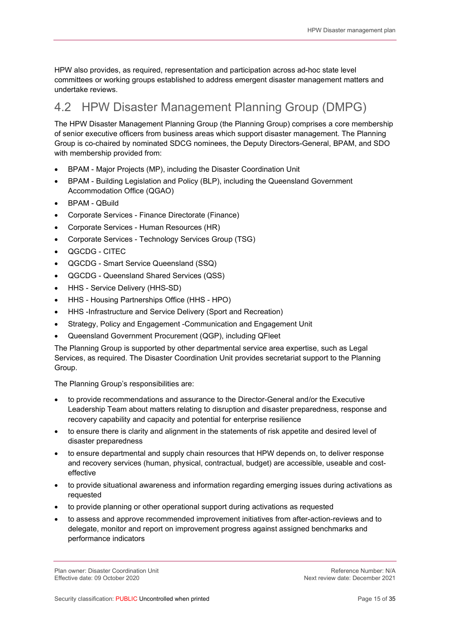HPW also provides, as required, representation and participation across ad-hoc state level committees or working groups established to address emergent disaster management matters and undertake reviews.

## 4.2 HPW Disaster Management Planning Group (DMPG)

The HPW Disaster Management Planning Group (the Planning Group) comprises a core membership of senior executive officers from business areas which support disaster management. The Planning Group is co-chaired by nominated SDCG nominees, the Deputy Directors-General, BPAM, and SDO with membership provided from:

- BPAM Major Projects (MP), including the Disaster Coordination Unit
- BPAM Building Legislation and Policy (BLP), including the Queensland Government Accommodation Office (QGAO)
- BPAM QBuild
- Corporate Services Finance Directorate (Finance)
- Corporate Services Human Resources (HR)
- Corporate Services Technology Services Group (TSG)
- QGCDG CITEC
- QGCDG Smart Service Queensland (SSQ)
- QGCDG Queensland Shared Services (QSS)
- HHS Service Delivery (HHS-SD)
- HHS Housing Partnerships Office (HHS HPO)
- HHS -Infrastructure and Service Delivery (Sport and Recreation)
- Strategy, Policy and Engagement -Communication and Engagement Unit
- Queensland Government Procurement (QGP), including QFleet

The Planning Group is supported by other departmental service area expertise, such as Legal Services, as required. The Disaster Coordination Unit provides secretariat support to the Planning Group.

The Planning Group's responsibilities are:

- to provide recommendations and assurance to the Director-General and/or the Executive Leadership Team about matters relating to disruption and disaster preparedness, response and recovery capability and capacity and potential for enterprise resilience
- to ensure there is clarity and alignment in the statements of risk appetite and desired level of disaster preparedness
- to ensure departmental and supply chain resources that HPW depends on, to deliver response and recovery services (human, physical, contractual, budget) are accessible, useable and costeffective
- to provide situational awareness and information regarding emerging issues during activations as requested
- to provide planning or other operational support during activations as requested
- to assess and approve recommended improvement initiatives from after-action-reviews and to delegate, monitor and report on improvement progress against assigned benchmarks and performance indicators

Plan owner: Disaster Coordination Unit Network and the Section of the Section Perference Number: N/A<br>Reference Number: N/A Effective date: 09 October 2020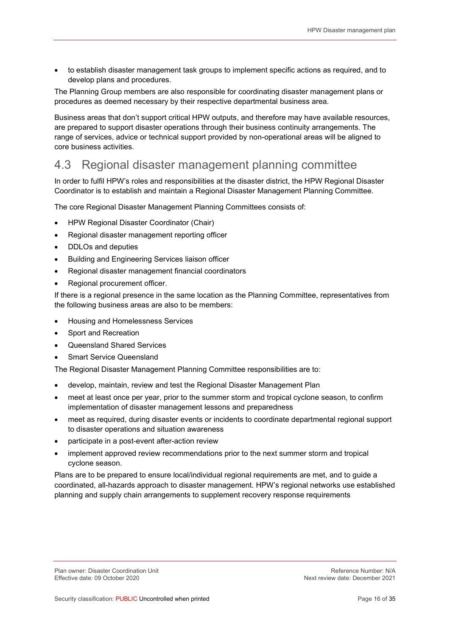to establish disaster management task groups to implement specific actions as required, and to develop plans and procedures.

The Planning Group members are also responsible for coordinating disaster management plans or procedures as deemed necessary by their respective departmental business area.

Business areas that don't support critical HPW outputs, and therefore may have available resources, are prepared to support disaster operations through their business continuity arrangements. The range of services, advice or technical support provided by non-operational areas will be aligned to core business activities.

### 4.3 Regional disaster management planning committee

In order to fulfil HPW's roles and responsibilities at the disaster district, the HPW Regional Disaster Coordinator is to establish and maintain a Regional Disaster Management Planning Committee.

The core Regional Disaster Management Planning Committees consists of:

- HPW Regional Disaster Coordinator (Chair)
- Regional disaster management reporting officer
- DDLOs and deputies
- Building and Engineering Services liaison officer
- Regional disaster management financial coordinators
- Regional procurement officer.

If there is a regional presence in the same location as the Planning Committee, representatives from the following business areas are also to be members:

- Housing and Homelessness Services
- Sport and Recreation
- Queensland Shared Services
- Smart Service Queensland

The Regional Disaster Management Planning Committee responsibilities are to:

- develop, maintain, review and test the Regional Disaster Management Plan
- meet at least once per year, prior to the summer storm and tropical cyclone season, to confirm implementation of disaster management lessons and preparedness
- meet as required, during disaster events or incidents to coordinate departmental regional support to disaster operations and situation awareness
- participate in a post-event after-action review
- implement approved review recommendations prior to the next summer storm and tropical cyclone season.

Plans are to be prepared to ensure local/individual regional requirements are met, and to guide a coordinated, all-hazards approach to disaster management. HPW's regional networks use established planning and supply chain arrangements to supplement recovery response requirements

Plan owner: Disaster Coordination Unit Network and the Section of the Section Perference Number: N/A<br>Reference Number: N/A Effective date: 09 October 2020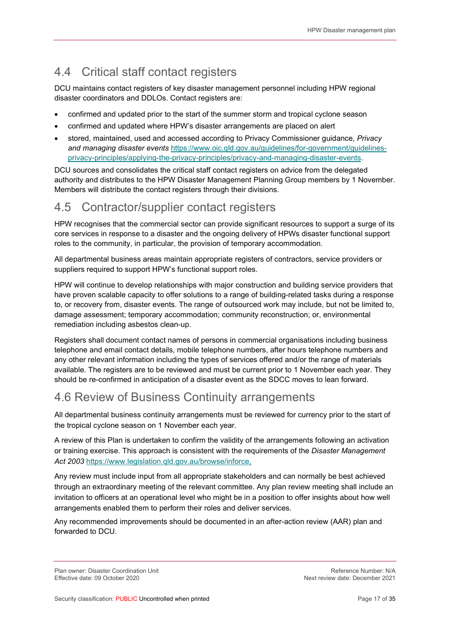## 4.4 Critical staff contact registers

DCU maintains contact registers of key disaster management personnel including HPW regional disaster coordinators and DDLOs. Contact registers are:

- confirmed and updated prior to the start of the summer storm and tropical cyclone season
- confirmed and updated where HPW's disaster arrangements are placed on alert
- stored, maintained, used and accessed according to Privacy Commissioner guidance, Privacy and managing disaster events https://www.oic.qld.gov.au/guidelines/for-government/guidelinesprivacy-principles/applying-the-privacy-principles/privacy-and-managing-disaster-events.

DCU sources and consolidates the critical staff contact registers on advice from the delegated authority and distributes to the HPW Disaster Management Planning Group members by 1 November. Members will distribute the contact registers through their divisions.

#### 4.5 Contractor/supplier contact registers

HPW recognises that the commercial sector can provide significant resources to support a surge of its core services in response to a disaster and the ongoing delivery of HPWs disaster functional support roles to the community, in particular, the provision of temporary accommodation.

All departmental business areas maintain appropriate registers of contractors, service providers or suppliers required to support HPW's functional support roles.

HPW will continue to develop relationships with major construction and building service providers that have proven scalable capacity to offer solutions to a range of building-related tasks during a response to, or recovery from, disaster events. The range of outsourced work may include, but not be limited to, damage assessment; temporary accommodation; community reconstruction; or, environmental remediation including asbestos clean-up.

Registers shall document contact names of persons in commercial organisations including business telephone and email contact details, mobile telephone numbers, after hours telephone numbers and any other relevant information including the types of services offered and/or the range of materials available. The registers are to be reviewed and must be current prior to 1 November each year. They should be re-confirmed in anticipation of a disaster event as the SDCC moves to lean forward.

### 4.6 Review of Business Continuity arrangements

All departmental business continuity arrangements must be reviewed for currency prior to the start of the tropical cyclone season on 1 November each year.

A review of this Plan is undertaken to confirm the validity of the arrangements following an activation or training exercise. This approach is consistent with the requirements of the Disaster Management Act 2003 https://www.legislation.qld.gov.au/browse/inforce,

Any review must include input from all appropriate stakeholders and can normally be best achieved through an extraordinary meeting of the relevant committee. Any plan review meeting shall include an invitation to officers at an operational level who might be in a position to offer insights about how well arrangements enabled them to perform their roles and deliver services.

Any recommended improvements should be documented in an after-action review (AAR) plan and forwarded to DCU.

Plan owner: Disaster Coordination Unit Network and the Section of the Section Perference Number: N/A<br>Reference Number: N/A Effective date: 09 October 2020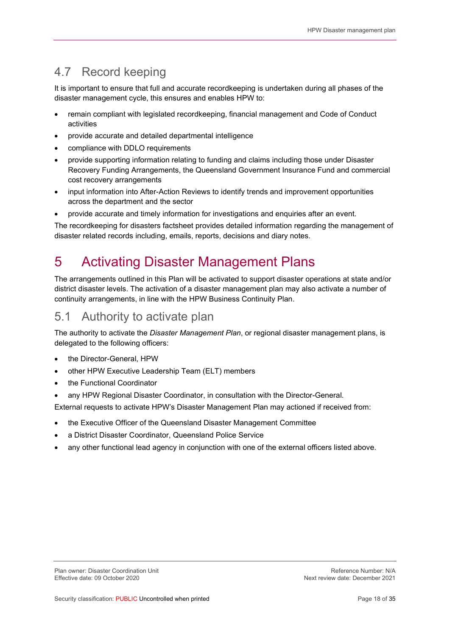### 4.7 Record keeping

It is important to ensure that full and accurate recordkeeping is undertaken during all phases of the disaster management cycle, this ensures and enables HPW to:

- remain compliant with legislated recordkeeping, financial management and Code of Conduct activities
- provide accurate and detailed departmental intelligence
- compliance with DDLO requirements
- provide supporting information relating to funding and claims including those under Disaster Recovery Funding Arrangements, the Queensland Government Insurance Fund and commercial cost recovery arrangements
- input information into After-Action Reviews to identify trends and improvement opportunities across the department and the sector
- provide accurate and timely information for investigations and enquiries after an event.

The recordkeeping for disasters factsheet provides detailed information regarding the management of disaster related records including, emails, reports, decisions and diary notes.

## 5 Activating Disaster Management Plans

The arrangements outlined in this Plan will be activated to support disaster operations at state and/or district disaster levels. The activation of a disaster management plan may also activate a number of continuity arrangements, in line with the HPW Business Continuity Plan.

#### 5.1 Authority to activate plan

The authority to activate the Disaster Management Plan, or regional disaster management plans, is delegated to the following officers:

- the Director-General, HPW
- other HPW Executive Leadership Team (ELT) members
- the Functional Coordinator
- any HPW Regional Disaster Coordinator, in consultation with the Director-General.

External requests to activate HPW's Disaster Management Plan may actioned if received from:

- the Executive Officer of the Queensland Disaster Management Committee
- a District Disaster Coordinator, Queensland Police Service
- any other functional lead agency in conjunction with one of the external officers listed above.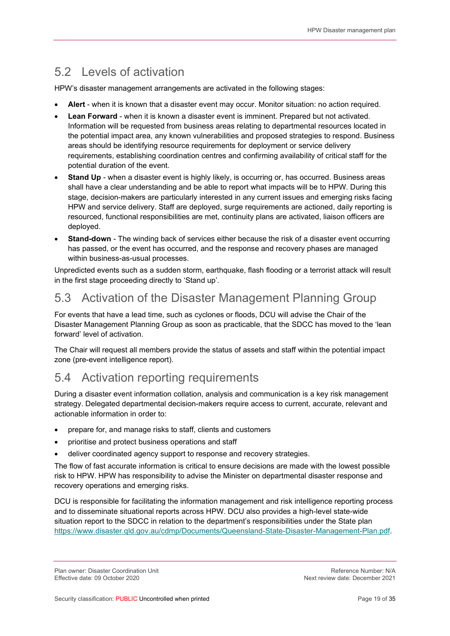## 5.2 Levels of activation

HPW's disaster management arrangements are activated in the following stages:

- Alert when it is known that a disaster event may occur. Monitor situation: no action required.
- Lean Forward when it is known a disaster event is imminent. Prepared but not activated. Information will be requested from business areas relating to departmental resources located in the potential impact area, any known vulnerabilities and proposed strategies to respond. Business areas should be identifying resource requirements for deployment or service delivery requirements, establishing coordination centres and confirming availability of critical staff for the potential duration of the event.
- Stand Up when a disaster event is highly likely, is occurring or, has occurred. Business areas shall have a clear understanding and be able to report what impacts will be to HPW. During this stage, decision-makers are particularly interested in any current issues and emerging risks facing HPW and service delivery. Staff are deployed, surge requirements are actioned, daily reporting is resourced, functional responsibilities are met, continuity plans are activated, liaison officers are deployed.
- Stand-down The winding back of services either because the risk of a disaster event occurring has passed, or the event has occurred, and the response and recovery phases are managed within business-as-usual processes.

Unpredicted events such as a sudden storm, earthquake, flash flooding or a terrorist attack will result in the first stage proceeding directly to 'Stand up'.

### 5.3 Activation of the Disaster Management Planning Group

For events that have a lead time, such as cyclones or floods, DCU will advise the Chair of the Disaster Management Planning Group as soon as practicable, that the SDCC has moved to the 'lean forward' level of activation.

The Chair will request all members provide the status of assets and staff within the potential impact zone (pre-event intelligence report).

### 5.4 Activation reporting requirements

During a disaster event information collation, analysis and communication is a key risk management strategy. Delegated departmental decision-makers require access to current, accurate, relevant and actionable information in order to:

- prepare for, and manage risks to staff, clients and customers
- prioritise and protect business operations and staff
- deliver coordinated agency support to response and recovery strategies.

The flow of fast accurate information is critical to ensure decisions are made with the lowest possible risk to HPW. HPW has responsibility to advise the Minister on departmental disaster response and recovery operations and emerging risks.

DCU is responsible for facilitating the information management and risk intelligence reporting process and to disseminate situational reports across HPW. DCU also provides a high-level state-wide situation report to the SDCC in relation to the department's responsibilities under the State plan https://www.disaster.qld.gov.au/cdmp/Documents/Queensland-State-Disaster-Management-Plan.pdf.

Plan owner: Disaster Coordination Unit Network and the Section of the Section Perference Number: N/A<br>Reference Number: N/A Effective date: 09 October 2020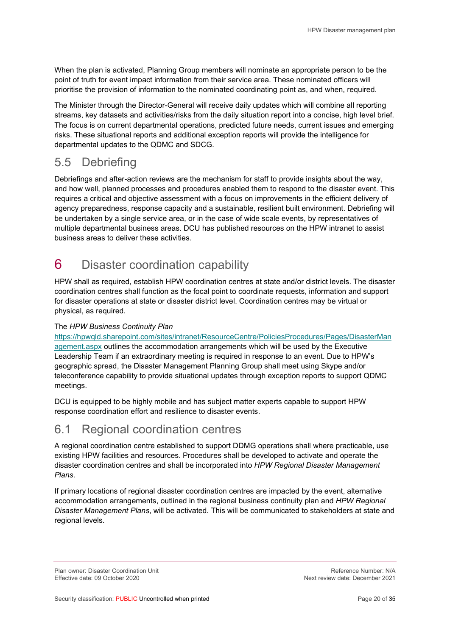When the plan is activated, Planning Group members will nominate an appropriate person to be the point of truth for event impact information from their service area. These nominated officers will prioritise the provision of information to the nominated coordinating point as, and when, required.

The Minister through the Director-General will receive daily updates which will combine all reporting streams, key datasets and activities/risks from the daily situation report into a concise, high level brief. The focus is on current departmental operations, predicted future needs, current issues and emerging risks. These situational reports and additional exception reports will provide the intelligence for departmental updates to the QDMC and SDCG.

## 5.5 Debriefing

Debriefings and after-action reviews are the mechanism for staff to provide insights about the way, and how well, planned processes and procedures enabled them to respond to the disaster event. This requires a critical and objective assessment with a focus on improvements in the efficient delivery of agency preparedness, response capacity and a sustainable, resilient built environment. Debriefing will be undertaken by a single service area, or in the case of wide scale events, by representatives of multiple departmental business areas. DCU has published resources on the HPW intranet to assist business areas to deliver these activities.

## 6 Disaster coordination capability

HPW shall as required, establish HPW coordination centres at state and/or district levels. The disaster coordination centres shall function as the focal point to coordinate requests, information and support for disaster operations at state or disaster district level. Coordination centres may be virtual or physical, as required.

#### The HPW Business Continuity Plan

https://hpwqld.sharepoint.com/sites/intranet/ResourceCentre/PoliciesProcedures/Pages/DisasterMan agement.aspx outlines the accommodation arrangements which will be used by the Executive Leadership Team if an extraordinary meeting is required in response to an event. Due to HPW's geographic spread, the Disaster Management Planning Group shall meet using Skype and/or teleconference capability to provide situational updates through exception reports to support QDMC meetings.

DCU is equipped to be highly mobile and has subject matter experts capable to support HPW response coordination effort and resilience to disaster events.

#### 6.1 Regional coordination centres

A regional coordination centre established to support DDMG operations shall where practicable, use existing HPW facilities and resources. Procedures shall be developed to activate and operate the disaster coordination centres and shall be incorporated into HPW Regional Disaster Management Plans.

If primary locations of regional disaster coordination centres are impacted by the event, alternative accommodation arrangements, outlined in the regional business continuity plan and HPW Regional Disaster Management Plans, will be activated. This will be communicated to stakeholders at state and regional levels.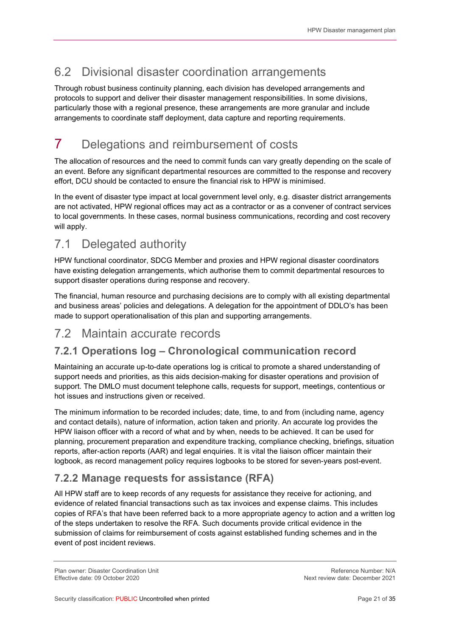## 6.2 Divisional disaster coordination arrangements

Through robust business continuity planning, each division has developed arrangements and protocols to support and deliver their disaster management responsibilities. In some divisions, particularly those with a regional presence, these arrangements are more granular and include arrangements to coordinate staff deployment, data capture and reporting requirements.

## 7 Delegations and reimbursement of costs

The allocation of resources and the need to commit funds can vary greatly depending on the scale of an event. Before any significant departmental resources are committed to the response and recovery effort, DCU should be contacted to ensure the financial risk to HPW is minimised.

In the event of disaster type impact at local government level only, e.g. disaster district arrangements are not activated, HPW regional offices may act as a contractor or as a convener of contract services to local governments. In these cases, normal business communications, recording and cost recovery will apply.

### 7.1 Delegated authority

HPW functional coordinator, SDCG Member and proxies and HPW regional disaster coordinators have existing delegation arrangements, which authorise them to commit departmental resources to support disaster operations during response and recovery.

The financial, human resource and purchasing decisions are to comply with all existing departmental and business areas' policies and delegations. A delegation for the appointment of DDLO's has been made to support operationalisation of this plan and supporting arrangements.

### 7.2 Maintain accurate records

#### 7.2.1 Operations log – Chronological communication record

Maintaining an accurate up-to-date operations log is critical to promote a shared understanding of support needs and priorities, as this aids decision-making for disaster operations and provision of support. The DMLO must document telephone calls, requests for support, meetings, contentious or hot issues and instructions given or received.

The minimum information to be recorded includes; date, time, to and from (including name, agency and contact details), nature of information, action taken and priority. An accurate log provides the HPW liaison officer with a record of what and by when, needs to be achieved. It can be used for planning, procurement preparation and expenditure tracking, compliance checking, briefings, situation reports, after-action reports (AAR) and legal enquiries. It is vital the liaison officer maintain their logbook, as record management policy requires logbooks to be stored for seven-years post-event.

#### 7.2.2 Manage requests for assistance (RFA)

All HPW staff are to keep records of any requests for assistance they receive for actioning, and evidence of related financial transactions such as tax invoices and expense claims. This includes copies of RFA's that have been referred back to a more appropriate agency to action and a written log of the steps undertaken to resolve the RFA. Such documents provide critical evidence in the submission of claims for reimbursement of costs against established funding schemes and in the event of post incident reviews.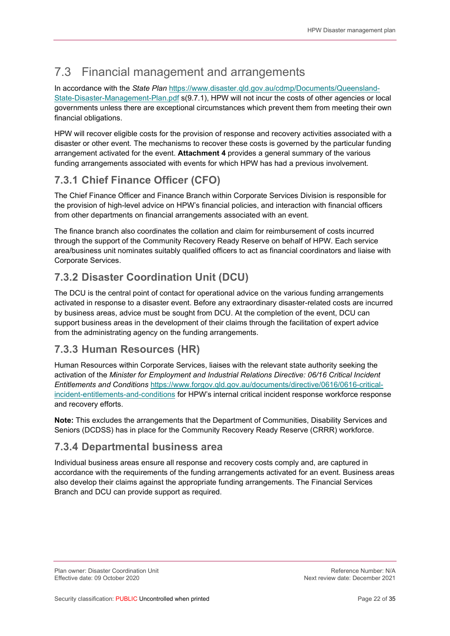### 7.3 Financial management and arrangements

In accordance with the State Plan https://www.disaster.qld.gov.au/cdmp/Documents/Queensland-State-Disaster-Management-Plan.pdf s(9.7.1), HPW will not incur the costs of other agencies or local governments unless there are exceptional circumstances which prevent them from meeting their own financial obligations.

HPW will recover eligible costs for the provision of response and recovery activities associated with a disaster or other event. The mechanisms to recover these costs is governed by the particular funding arrangement activated for the event. Attachment 4 provides a general summary of the various funding arrangements associated with events for which HPW has had a previous involvement.

#### 7.3.1 Chief Finance Officer (CFO)

The Chief Finance Officer and Finance Branch within Corporate Services Division is responsible for the provision of high-level advice on HPW's financial policies, and interaction with financial officers from other departments on financial arrangements associated with an event.

The finance branch also coordinates the collation and claim for reimbursement of costs incurred through the support of the Community Recovery Ready Reserve on behalf of HPW. Each service area/business unit nominates suitably qualified officers to act as financial coordinators and liaise with Corporate Services.

#### 7.3.2 Disaster Coordination Unit (DCU)

The DCU is the central point of contact for operational advice on the various funding arrangements activated in response to a disaster event. Before any extraordinary disaster-related costs are incurred by business areas, advice must be sought from DCU. At the completion of the event, DCU can support business areas in the development of their claims through the facilitation of expert advice from the administrating agency on the funding arrangements.

#### 7.3.3 Human Resources (HR)

Human Resources within Corporate Services, liaises with the relevant state authority seeking the activation of the Minister for Employment and Industrial Relations Directive: 06/16 Critical Incident Entitlements and Conditions https://www.forgov.qld.gov.au/documents/directive/0616/0616-criticalincident-entitlements-and-conditions for HPW's internal critical incident response workforce response and recovery efforts.

Note: This excludes the arrangements that the Department of Communities, Disability Services and Seniors (DCDSS) has in place for the Community Recovery Ready Reserve (CRRR) workforce.

#### 7.3.4 Departmental business area

Individual business areas ensure all response and recovery costs comply and, are captured in accordance with the requirements of the funding arrangements activated for an event. Business areas also develop their claims against the appropriate funding arrangements. The Financial Services Branch and DCU can provide support as required.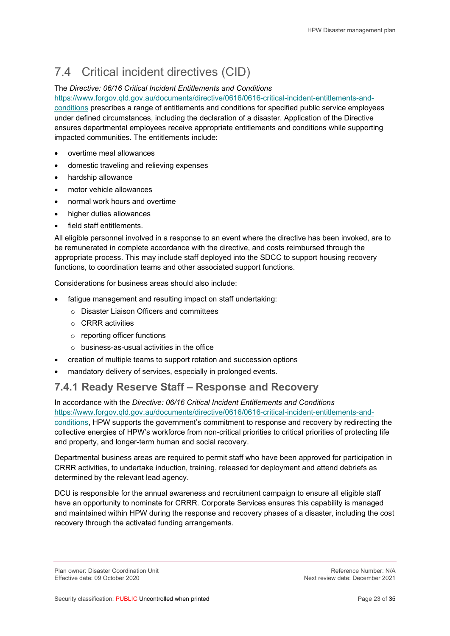## 7.4 Critical incident directives (CID)

#### The Directive: 06/16 Critical Incident Entitlements and Conditions

https://www.forgov.qld.gov.au/documents/directive/0616/0616-critical-incident-entitlements-andconditions prescribes a range of entitlements and conditions for specified public service employees under defined circumstances, including the declaration of a disaster. Application of the Directive ensures departmental employees receive appropriate entitlements and conditions while supporting impacted communities. The entitlements include:

- overtime meal allowances
- domestic traveling and relieving expenses
- hardship allowance
- motor vehicle allowances
- normal work hours and overtime
- higher duties allowances
- field staff entitlements.

All eligible personnel involved in a response to an event where the directive has been invoked, are to be remunerated in complete accordance with the directive, and costs reimbursed through the appropriate process. This may include staff deployed into the SDCC to support housing recovery functions, to coordination teams and other associated support functions.

Considerations for business areas should also include:

- fatigue management and resulting impact on staff undertaking:
	- o Disaster Liaison Officers and committees
	- o CRRR activities
	- o reporting officer functions
	- o business-as-usual activities in the office
- creation of multiple teams to support rotation and succession options
- mandatory delivery of services, especially in prolonged events.

#### 7.4.1 Ready Reserve Staff – Response and Recovery

In accordance with the Directive: 06/16 Critical Incident Entitlements and Conditions https://www.forgov.qld.gov.au/documents/directive/0616/0616-critical-incident-entitlements-andconditions, HPW supports the government's commitment to response and recovery by redirecting the collective energies of HPW's workforce from non-critical priorities to critical priorities of protecting life and property, and longer-term human and social recovery.

Departmental business areas are required to permit staff who have been approved for participation in CRRR activities, to undertake induction, training, released for deployment and attend debriefs as determined by the relevant lead agency.

DCU is responsible for the annual awareness and recruitment campaign to ensure all eligible staff have an opportunity to nominate for CRRR. Corporate Services ensures this capability is managed and maintained within HPW during the response and recovery phases of a disaster, including the cost recovery through the activated funding arrangements.

Plan owner: Disaster Coordination Unit Network and the Section of the Section Perference Number: N/A<br>Reference Number: N/A Effective date: 09 October 2020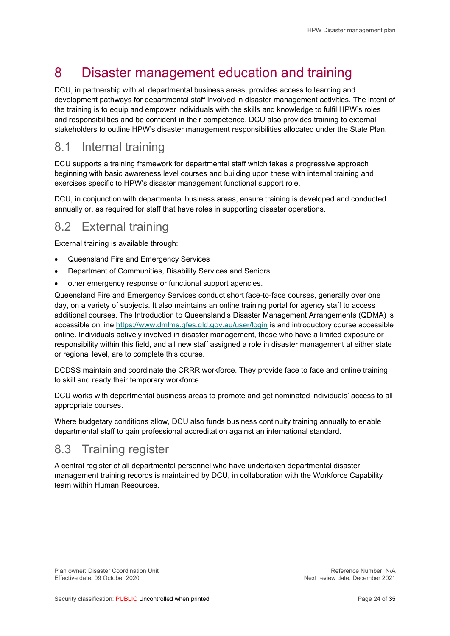## 8 Disaster management education and training

DCU, in partnership with all departmental business areas, provides access to learning and development pathways for departmental staff involved in disaster management activities. The intent of the training is to equip and empower individuals with the skills and knowledge to fulfil HPW's roles and responsibilities and be confident in their competence. DCU also provides training to external stakeholders to outline HPW's disaster management responsibilities allocated under the State Plan.

### 8.1 Internal training

DCU supports a training framework for departmental staff which takes a progressive approach beginning with basic awareness level courses and building upon these with internal training and exercises specific to HPW's disaster management functional support role.

DCU, in conjunction with departmental business areas, ensure training is developed and conducted annually or, as required for staff that have roles in supporting disaster operations.

### 8.2 External training

External training is available through:

- Queensland Fire and Emergency Services
- Department of Communities, Disability Services and Seniors
- other emergency response or functional support agencies.

Queensland Fire and Emergency Services conduct short face-to-face courses, generally over one day, on a variety of subjects. It also maintains an online training portal for agency staff to access additional courses. The Introduction to Queensland's Disaster Management Arrangements (QDMA) is accessible on line https://www.dmlms.qfes.qld.gov.au/user/login is and introductory course accessible online. Individuals actively involved in disaster management, those who have a limited exposure or responsibility within this field, and all new staff assigned a role in disaster management at either state or regional level, are to complete this course.

DCDSS maintain and coordinate the CRRR workforce. They provide face to face and online training to skill and ready their temporary workforce.

DCU works with departmental business areas to promote and get nominated individuals' access to all appropriate courses.

Where budgetary conditions allow, DCU also funds business continuity training annually to enable departmental staff to gain professional accreditation against an international standard.

#### 8.3 Training register

A central register of all departmental personnel who have undertaken departmental disaster management training records is maintained by DCU, in collaboration with the Workforce Capability team within Human Resources.

Plan owner: Disaster Coordination Unit Network and the Section of the Section Perference Number: N/A<br>Reference Number: N/A Effective date: 09 October 2020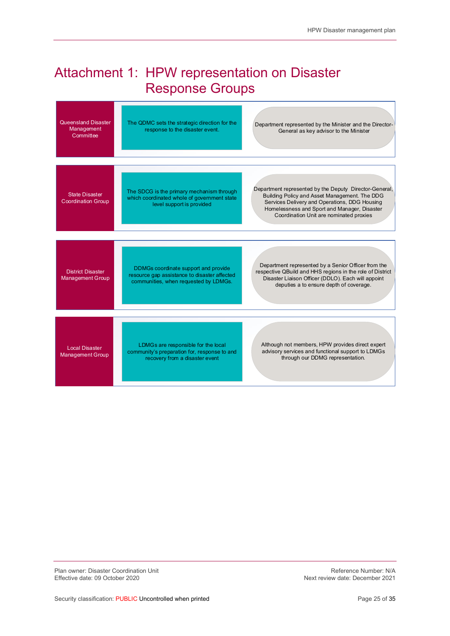## Attachment 1: HPW representation on Disaster Response Groups

| Queensland Disaster<br>Management<br>Committee      | The QDMC sets the strategic direction for the<br>Department represented by the Minister and the Director-<br>response to the disaster event.<br>General as key advisor to the Minister                                                                                                                                                                                       |  |
|-----------------------------------------------------|------------------------------------------------------------------------------------------------------------------------------------------------------------------------------------------------------------------------------------------------------------------------------------------------------------------------------------------------------------------------------|--|
| <b>State Disaster</b><br><b>Coordination Group</b>  | Department represented by the Deputy Director-General,<br>The SDCG is the primary mechanism through<br>Building Policy and Asset Management. The DDG<br>which coordinated whole of government state<br>Services Delivery and Operations, DDG Housing<br>level support is provided<br>Homelessness and Sport and Manager, Disaster<br>Coordination Unit are nominated proxies |  |
| <b>District Disaster</b><br><b>Management Group</b> | Department represented by a Senior Officer from the<br>DDMGs coordinate support and provide<br>respective QBuild and HHS regions in the role of District<br>resource gap assistance to disaster affected<br>Disaster Liaison Officer (DDLO). Each will appoint<br>communities, when requested by LDMGs.<br>deputies a to ensure depth of coverage.                           |  |
| <b>Local Disaster</b><br><b>Management Group</b>    | Although not members, HPW provides direct expert<br>LDMGs are responsible for the local<br>advisory services and functional support to LDMGs<br>community's preparation for, response to and<br>through our DDMG representation.<br>recovery from a disaster event                                                                                                           |  |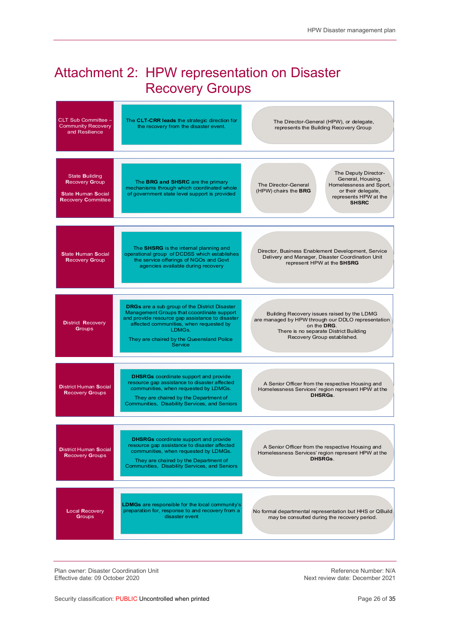## Attachment 2: HPW representation on Disaster Recovery Groups

| CLT Sub Committee -<br><b>Community Recovery</b><br>and Resilience                                | The CLT-CRR leads the strategic direction for<br>the recovery from the disaster event.                                                                                                                                                                                    | The Director-General (HPW), or delegate,<br>represents the Building Recovery Group                                                                                                        |  |
|---------------------------------------------------------------------------------------------------|---------------------------------------------------------------------------------------------------------------------------------------------------------------------------------------------------------------------------------------------------------------------------|-------------------------------------------------------------------------------------------------------------------------------------------------------------------------------------------|--|
| State Building<br><b>Recovery Group</b><br><b>State Human Social</b><br><b>Recovery Committee</b> | The BRG and SHSRC are the primary<br>mechanisms through which coordinated whole<br>of government state level support is provided                                                                                                                                          | The Deputy Director-<br>General, Housing,<br>Homelessness and Sport,<br>The Director-General<br>(HPW) chairs the BRG<br>or their delegate,<br>represents HPW at the<br><b>SHSRC</b>       |  |
| <b>State Human Social</b><br><b>Recovery Group</b>                                                | The SHSRG is the internal planning and<br>operational group of DCDSS which establishes<br>the service offerings of NGOs and Govt<br>agencies available during recovery                                                                                                    | Director, Business Enablement Development, Service<br>Delivery and Manager, Disaster Coordination Unit<br>represent HPW at the SHSRG                                                      |  |
| <b>District Recovery</b><br>Groups                                                                | <b>DRGs</b> are a sub group of the District Disaster<br>Management Groups that ccoordinate support<br>and provide resource gap assistance to disaster<br>affected communities, when requested by<br>LDMGs.<br>They are chaired by the Queensland Police<br><b>Service</b> | Building Recovery issues raised by the LDMG<br>are managed by HPW through our DDLO representation<br>on the DRG.<br>There is no separate District Building<br>Recovery Group established. |  |
| <b>District Human Social</b><br><b>Recovery Groups</b>                                            | <b>DHSRGs</b> coordinate support and provide<br>resource gap assistance to disaster affected<br>communities, when requested by LDMGs.<br>They are chaired by the Department of<br>Communities, Disability Services, and Seniors                                           | A Senior Officer from the respective Housing and<br>Homelessness Services' region represent HPW at the<br>DHSRGs.                                                                         |  |
| <b>District Human Social</b><br><b>Recovery Groups</b>                                            | <b>DHSRGs</b> coordinate support and provide<br>resource gap assistance to disaster affected<br>communities, when requested by LDMGs.<br>They are chaired by the Department of<br>Communities, Disability Services, and Seniors                                           | A Senior Officer from the respective Housing and<br>Homelessness Services' region represent HPW at the<br><b>DHSRGs.</b>                                                                  |  |
| <b>Local Recovery</b><br>Groups                                                                   | <b>LDMGs</b> are responsible for the local community's<br>preparation for, response to and recovery from a<br>disaster event                                                                                                                                              | No formal departmental representation but HHS or QBuild<br>may be consulted during the recovery period.                                                                                   |  |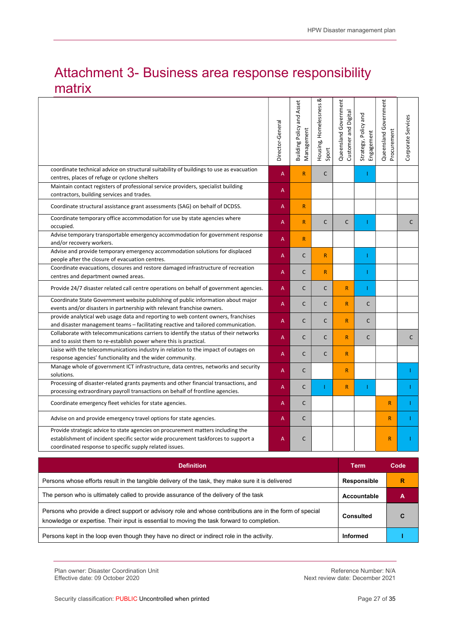## Attachment 3- Business area response responsibility matrix

|                                                                                                                                                                                                                                  | Director-General | <b>Building Policy and Asset</b><br>Management | ∞<br>Housing, Homelessness<br>Sport | Queensland Government<br>Customer and Digital | Strategy, Policy and<br>Engagement | Queensland Government<br>Procurement | Corporate Services |  |
|----------------------------------------------------------------------------------------------------------------------------------------------------------------------------------------------------------------------------------|------------------|------------------------------------------------|-------------------------------------|-----------------------------------------------|------------------------------------|--------------------------------------|--------------------|--|
| coordinate technical advice on structural suitability of buildings to use as evacuation<br>centres, places of refuge or cyclone shelters                                                                                         | A                | R                                              | $\mathsf{C}$                        |                                               | Т                                  |                                      |                    |  |
| Maintain contact registers of professional service providers, specialist building<br>contractors, building services and trades.                                                                                                  | A                |                                                |                                     |                                               |                                    |                                      |                    |  |
| Coordinate structural assistance grant assessments (SAG) on behalf of DCDSS.                                                                                                                                                     | A                | $\overline{R}$                                 |                                     |                                               |                                    |                                      |                    |  |
| Coordinate temporary office accommodation for use by state agencies where<br>occupied.                                                                                                                                           | A                | R                                              | $\mathsf{C}$                        | C                                             |                                    |                                      | $\mathsf{C}$       |  |
| Advise temporary transportable emergency accommodation for government response<br>and/or recovery workers.                                                                                                                       | A                | R                                              |                                     |                                               |                                    |                                      |                    |  |
| Advise and provide temporary emergency accommodation solutions for displaced<br>people after the closure of evacuation centres.                                                                                                  | A                | $\mathsf{C}$                                   | $\mathsf{R}$                        |                                               |                                    |                                      |                    |  |
| Coordinate evacuations, closures and restore damaged infrastructure of recreation<br>centres and department owned areas.                                                                                                         | A                | $\mathsf{C}$                                   | $\mathsf{R}$                        |                                               |                                    |                                      |                    |  |
| Provide 24/7 disaster related call centre operations on behalf of government agencies.                                                                                                                                           | A                | $\mathsf{C}$                                   | $\mathsf{C}$                        | $\mathsf{R}$                                  | т                                  |                                      |                    |  |
| Coordinate State Government website publishing of public information about major<br>events and/or disasters in partnership with relevant franchise owners.                                                                       | A                | $\mathsf{C}$                                   | $\mathsf{C}$                        | $\mathsf{R}$                                  | $\mathsf{C}$                       |                                      |                    |  |
| provide analytical web usage data and reporting to web content owners, franchises<br>and disaster management teams - facilitating reactive and tailored communication.                                                           | A                | $\mathsf{C}$                                   | $\mathsf{C}$                        | $\mathsf{R}$                                  | $\mathsf{C}$                       |                                      |                    |  |
| Collaborate with telecommunications carriers to identify the status of their networks<br>and to assist them to re-establish power where this is practical.                                                                       | A                | $\mathsf{C}$                                   | $\mathsf{C}$                        | $\mathsf{R}$                                  | $\mathsf{C}$                       |                                      | C                  |  |
| Liaise with the telecommunications industry in relation to the impact of outages on<br>response agencies' functionality and the wider community.                                                                                 | A                | $\mathsf{C}$                                   | $\mathsf{C}$                        | $\mathsf{R}$                                  |                                    |                                      |                    |  |
| Manage whole of government ICT infrastructure, data centres, networks and security<br>solutions.                                                                                                                                 | A                | $\mathsf{C}$                                   |                                     | $\mathsf{R}$                                  |                                    |                                      |                    |  |
| Processing of disaster-related grants payments and other financial transactions, and<br>processing extraordinary payroll transactions on behalf of frontline agencies.                                                           | A                | $\mathsf{C}$                                   | т                                   | $\mathsf{R}$                                  | -1                                 |                                      |                    |  |
| Coordinate emergency fleet vehicles for state agencies.                                                                                                                                                                          | A                | $\mathsf{C}$                                   |                                     |                                               |                                    | $\mathsf{R}$                         |                    |  |
| Advise on and provide emergency travel options for state agencies.                                                                                                                                                               | A                | $\mathsf{C}$                                   |                                     |                                               |                                    | $\mathsf{R}$                         |                    |  |
| Provide strategic advice to state agencies on procurement matters including the<br>establishment of incident specific sector wide procurement taskforces to support a<br>coordinated response to specific supply related issues. | A                | $\mathsf{C}$                                   |                                     |                                               |                                    | $\mathsf{R}$                         |                    |  |
|                                                                                                                                                                                                                                  |                  |                                                |                                     |                                               |                                    |                                      |                    |  |

| <b>Definition</b>                                                                                                                                                                                      | Term             | Code |
|--------------------------------------------------------------------------------------------------------------------------------------------------------------------------------------------------------|------------------|------|
| Persons whose efforts result in the tangible delivery of the task, they make sure it is delivered                                                                                                      | Responsible      | R    |
| The person who is ultimately called to provide assurance of the delivery of the task                                                                                                                   | Accountable      | А    |
| Persons who provide a direct support or advisory role and whose contributions are in the form of special<br>knowledge or expertise. Their input is essential to moving the task forward to completion. | <b>Consulted</b> |      |
| Persons kept in the loop even though they have no direct or indirect role in the activity.                                                                                                             | <b>Informed</b>  |      |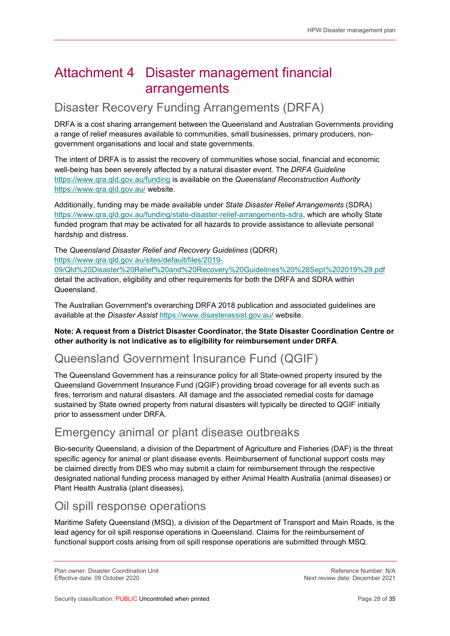## Attachment 4 Disaster management financial arrangements

#### Disaster Recovery Funding Arrangements (DRFA)

DRFA is a cost sharing arrangement between the Queensland and Australian Governments providing a range of relief measures available to communities, small businesses, primary producers, nongovernment organisations and local and state governments.

The intent of DRFA is to assist the recovery of communities whose social, financial and economic well-being has been severely affected by a natural disaster event. The DRFA Guideline https://www.qra.qld.gov.au/funding is available on the Queensland Reconstruction Authority https://www.qra.qld.gov.au/ website.

Additionally, funding may be made available under State Disaster Relief Arrangements (SDRA) https://www.qra.qld.gov.au/funding/state-disaster-relief-arrangements-sdra, which are wholly State funded program that may be activated for all hazards to provide assistance to alleviate personal hardship and distress.

The Queensland Disaster Relief and Recovery Guidelines (QDRR) https://www.qra.qld.gov.au/sites/default/files/2019-

09/Qld%20Disaster%20Relief%20and%20Recovery%20Guidelines%20%28Sept%202019%29.pdf detail the activation, eligibility and other requirements for both the DRFA and SDRA within Queensland.

The Australian Government's overarching DRFA 2018 publication and associated guidelines are available at the Disaster Assist https://www.disasterassist.gov.au/ website.

#### Note: A request from a District Disaster Coordinator, the State Disaster Coordination Centre or other authority is not indicative as to eligibility for reimbursement under DRFA.

### Queensland Government Insurance Fund (QGIF)

The Queensland Government has a reinsurance policy for all State-owned property insured by the Queensland Government Insurance Fund (QGIF) providing broad coverage for all events such as fires, terrorism and natural disasters. All damage and the associated remedial costs for damage sustained by State owned property from natural disasters will typically be directed to QGIF initially prior to assessment under DRFA.

#### Emergency animal or plant disease outbreaks

Bio-security Queensland, a division of the Department of Agriculture and Fisheries (DAF) is the threat specific agency for animal or plant disease events. Reimbursement of functional support costs may be claimed directly from DES who may submit a claim for reimbursement through the respective designated national funding process managed by either Animal Health Australia (animal diseases) or Plant Health Australia (plant diseases).

#### Oil spill response operations

Maritime Safety Queensland (MSQ), a division of the Department of Transport and Main Roads, is the lead agency for oil spill response operations in Queensland. Claims for the reimbursement of functional support costs arising from oil spill response operations are submitted through MSQ.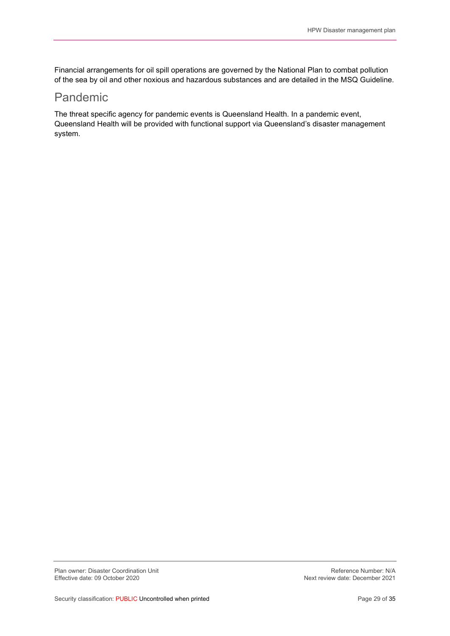Financial arrangements for oil spill operations are governed by the National Plan to combat pollution of the sea by oil and other noxious and hazardous substances and are detailed in the MSQ Guideline.

#### Pandemic

The threat specific agency for pandemic events is Queensland Health. In a pandemic event, Queensland Health will be provided with functional support via Queensland's disaster management system.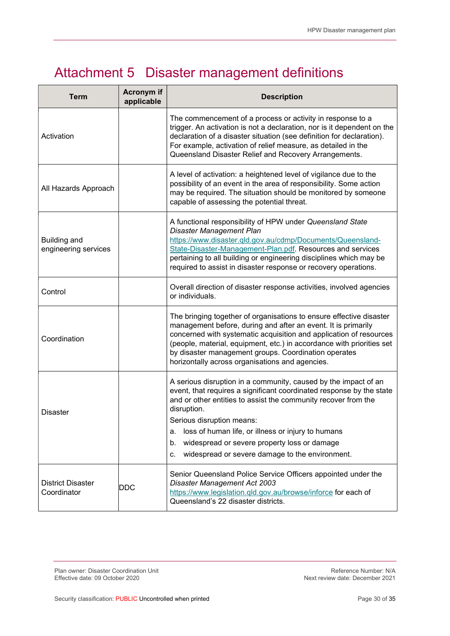## Attachment 5 Disaster management definitions

| <b>Term</b>                                 | <b>Acronym</b> if<br>applicable | <b>Description</b>                                                                                                                                                                                                                                                                                                                                                                                                               |  |  |  |  |
|---------------------------------------------|---------------------------------|----------------------------------------------------------------------------------------------------------------------------------------------------------------------------------------------------------------------------------------------------------------------------------------------------------------------------------------------------------------------------------------------------------------------------------|--|--|--|--|
| Activation                                  |                                 | The commencement of a process or activity in response to a<br>trigger. An activation is not a declaration, nor is it dependent on the<br>declaration of a disaster situation (see definition for declaration).<br>For example, activation of relief measure, as detailed in the<br>Queensland Disaster Relief and Recovery Arrangements.                                                                                         |  |  |  |  |
| All Hazards Approach                        |                                 | A level of activation: a heightened level of vigilance due to the<br>possibility of an event in the area of responsibility. Some action<br>may be required. The situation should be monitored by someone<br>capable of assessing the potential threat.                                                                                                                                                                           |  |  |  |  |
| <b>Building and</b><br>engineering services |                                 | A functional responsibility of HPW under Queensland State<br>Disaster Management Plan<br>https://www.disaster.qld.gov.au/cdmp/Documents/Queensland-<br>State-Disaster-Management-Plan.pdf. Resources and services<br>pertaining to all building or engineering disciplines which may be<br>required to assist in disaster response or recovery operations.                                                                       |  |  |  |  |
| Control                                     |                                 | Overall direction of disaster response activities, involved agencies<br>or individuals.                                                                                                                                                                                                                                                                                                                                          |  |  |  |  |
| Coordination                                |                                 | The bringing together of organisations to ensure effective disaster<br>management before, during and after an event. It is primarily<br>concerned with systematic acquisition and application of resources<br>(people, material, equipment, etc.) in accordance with priorities set<br>by disaster management groups. Coordination operates<br>horizontally across organisations and agencies.                                   |  |  |  |  |
| <b>Disaster</b>                             |                                 | A serious disruption in a community, caused by the impact of an<br>event, that requires a significant coordinated response by the state<br>and or other entities to assist the community recover from the<br>disruption.<br>Serious disruption means:<br>loss of human life, or illness or injury to humans<br>a.<br>widespread or severe property loss or damage<br>b.<br>widespread or severe damage to the environment.<br>c. |  |  |  |  |
| <b>District Disaster</b><br>Coordinator     | <b>DDC</b>                      | Senior Queensland Police Service Officers appointed under the<br>Disaster Management Act 2003<br>https://www.legislation.qld.gov.au/browse/inforce for each of<br>Queensland's 22 disaster districts.                                                                                                                                                                                                                            |  |  |  |  |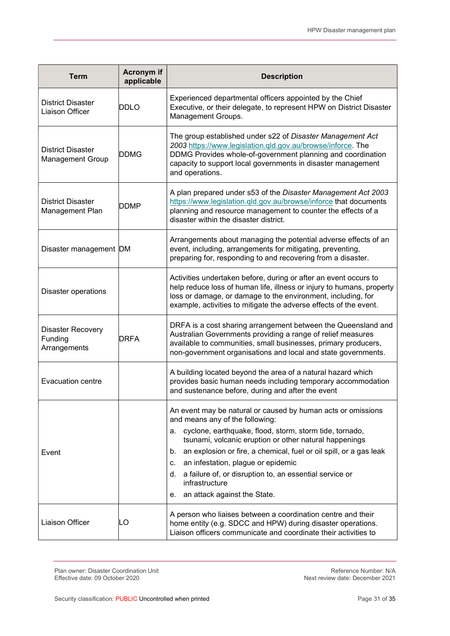| <b>Term</b>                                         | <b>Acronym</b> if<br>applicable | <b>Description</b>                                                                                                                                                                                                                                                                                                                                                                                                                                                          |
|-----------------------------------------------------|---------------------------------|-----------------------------------------------------------------------------------------------------------------------------------------------------------------------------------------------------------------------------------------------------------------------------------------------------------------------------------------------------------------------------------------------------------------------------------------------------------------------------|
| <b>District Disaster</b><br><b>Liaison Officer</b>  | <b>DDLO</b>                     | Experienced departmental officers appointed by the Chief<br>Executive, or their delegate, to represent HPW on District Disaster<br>Management Groups.                                                                                                                                                                                                                                                                                                                       |
| <b>District Disaster</b><br><b>Management Group</b> | <b>DDMG</b>                     | The group established under s22 of Disaster Management Act<br>2003 https://www.legislation.qld.gov.au/browse/inforce. The<br>DDMG Provides whole-of-government planning and coordination<br>capacity to support local governments in disaster management<br>and operations.                                                                                                                                                                                                 |
| <b>District Disaster</b><br>Management Plan         | DDMP                            | A plan prepared under s53 of the Disaster Management Act 2003<br>https://www.legislation.gld.gov.au/browse/inforce that documents<br>planning and resource management to counter the effects of a<br>disaster within the disaster district.                                                                                                                                                                                                                                 |
| Disaster management DM                              |                                 | Arrangements about managing the potential adverse effects of an<br>event, including, arrangements for mitigating, preventing,<br>preparing for, responding to and recovering from a disaster.                                                                                                                                                                                                                                                                               |
| <b>Disaster operations</b>                          |                                 | Activities undertaken before, during or after an event occurs to<br>help reduce loss of human life, illness or injury to humans, property<br>loss or damage, or damage to the environment, including, for<br>example, activities to mitigate the adverse effects of the event.                                                                                                                                                                                              |
| <b>Disaster Recovery</b><br>Funding<br>Arrangements | DRFA                            | DRFA is a cost sharing arrangement between the Queensland and<br>Australian Governments providing a range of relief measures<br>available to communities, small businesses, primary producers,<br>non-government organisations and local and state governments.                                                                                                                                                                                                             |
| <b>Evacuation centre</b>                            |                                 | A building located beyond the area of a natural hazard which<br>provides basic human needs including temporary accommodation<br>and sustenance before, during and after the event                                                                                                                                                                                                                                                                                           |
| Event                                               |                                 | An event may be natural or caused by human acts or omissions<br>and means any of the following:<br>cyclone, earthquake, flood, storm, storm tide, tornado,<br>а.<br>tsunami, volcanic eruption or other natural happenings<br>an explosion or fire, a chemical, fuel or oil spill, or a gas leak<br>b.<br>an infestation, plague or epidemic<br>C.<br>a failure of, or disruption to, an essential service or<br>d.<br>infrastructure<br>an attack against the State.<br>е. |
| Liaison Officer                                     | LO                              | A person who liaises between a coordination centre and their<br>home entity (e.g. SDCC and HPW) during disaster operations.<br>Liaison officers communicate and coordinate their activities to                                                                                                                                                                                                                                                                              |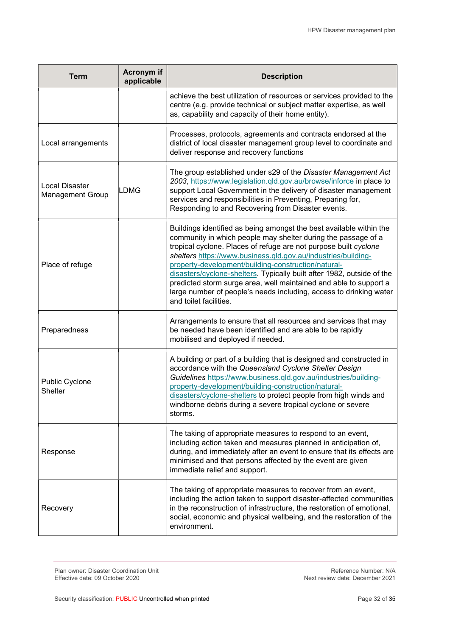| <b>Term</b>                                      | Acronym if<br>applicable | <b>Description</b>                                                                                                                                                                                                                                                                                                                                                                                                                                                                                                                                                              |
|--------------------------------------------------|--------------------------|---------------------------------------------------------------------------------------------------------------------------------------------------------------------------------------------------------------------------------------------------------------------------------------------------------------------------------------------------------------------------------------------------------------------------------------------------------------------------------------------------------------------------------------------------------------------------------|
|                                                  |                          | achieve the best utilization of resources or services provided to the<br>centre (e.g. provide technical or subject matter expertise, as well<br>as, capability and capacity of their home entity).                                                                                                                                                                                                                                                                                                                                                                              |
| Local arrangements                               |                          | Processes, protocols, agreements and contracts endorsed at the<br>district of local disaster management group level to coordinate and<br>deliver response and recovery functions                                                                                                                                                                                                                                                                                                                                                                                                |
| <b>Local Disaster</b><br><b>Management Group</b> | LDMG                     | The group established under s29 of the Disaster Management Act<br>2003, https://www.legislation.qld.gov.au/browse/inforce in place to<br>support Local Government in the delivery of disaster management<br>services and responsibilities in Preventing, Preparing for,<br>Responding to and Recovering from Disaster events.                                                                                                                                                                                                                                                   |
| Place of refuge                                  |                          | Buildings identified as being amongst the best available within the<br>community in which people may shelter during the passage of a<br>tropical cyclone. Places of refuge are not purpose built cyclone<br>shelters https://www.business.qld.gov.au/industries/building-<br>property-development/building-construction/natural-<br>disasters/cyclone-shelters. Typically built after 1982, outside of the<br>predicted storm surge area, well maintained and able to support a<br>large number of people's needs including, access to drinking water<br>and toilet facilities. |
| Preparedness                                     |                          | Arrangements to ensure that all resources and services that may<br>be needed have been identified and are able to be rapidly<br>mobilised and deployed if needed.                                                                                                                                                                                                                                                                                                                                                                                                               |
| Public Cyclone<br><b>Shelter</b>                 |                          | A building or part of a building that is designed and constructed in<br>accordance with the Queensland Cyclone Shelter Design<br>Guidelines https://www.business.gld.gov.au/industries/building-<br>property-development/building-construction/natural-<br>disasters/cyclone-shelters to protect people from high winds and<br>windborne debris during a severe tropical cyclone or severe<br>storms.                                                                                                                                                                           |
| Response                                         |                          | The taking of appropriate measures to respond to an event,<br>including action taken and measures planned in anticipation of,<br>during, and immediately after an event to ensure that its effects are<br>minimised and that persons affected by the event are given<br>immediate relief and support.                                                                                                                                                                                                                                                                           |
| Recovery                                         |                          | The taking of appropriate measures to recover from an event,<br>including the action taken to support disaster-affected communities<br>in the reconstruction of infrastructure, the restoration of emotional,<br>social, economic and physical wellbeing, and the restoration of the<br>environment.                                                                                                                                                                                                                                                                            |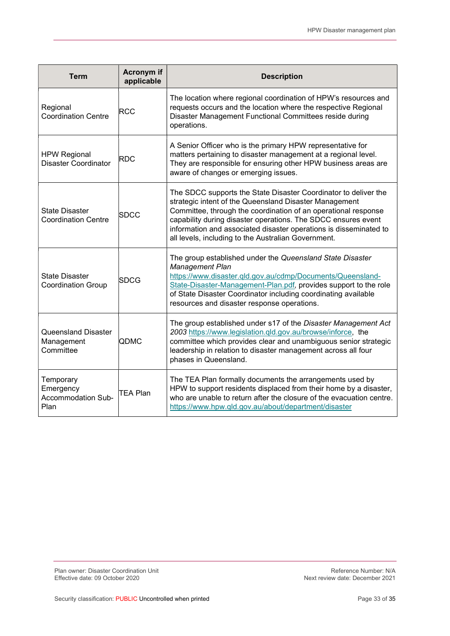| <b>Term</b>                                           | <b>Acronym</b> if<br>applicable | <b>Description</b>                                                                                                                                                                                                                                                                                                                                                                       |
|-------------------------------------------------------|---------------------------------|------------------------------------------------------------------------------------------------------------------------------------------------------------------------------------------------------------------------------------------------------------------------------------------------------------------------------------------------------------------------------------------|
| Regional<br><b>Coordination Centre</b>                | RCC                             | The location where regional coordination of HPW's resources and<br>requests occurs and the location where the respective Regional<br>Disaster Management Functional Committees reside during<br>operations.                                                                                                                                                                              |
| <b>HPW Regional</b><br><b>Disaster Coordinator</b>    | RDC                             | A Senior Officer who is the primary HPW representative for<br>matters pertaining to disaster management at a regional level.<br>They are responsible for ensuring other HPW business areas are<br>aware of changes or emerging issues.                                                                                                                                                   |
| <b>State Disaster</b><br><b>Coordination Centre</b>   | <b>SDCC</b>                     | The SDCC supports the State Disaster Coordinator to deliver the<br>strategic intent of the Queensland Disaster Management<br>Committee, through the coordination of an operational response<br>capability during disaster operations. The SDCC ensures event<br>information and associated disaster operations is disseminated to<br>all levels, including to the Australian Government. |
| <b>State Disaster</b><br><b>Coordination Group</b>    | <b>SDCG</b>                     | The group established under the Queensland State Disaster<br><b>Management Plan</b><br>https://www.disaster.qld.gov.au/cdmp/Documents/Queensland-<br>State-Disaster-Management-Plan.pdf, provides support to the role<br>of State Disaster Coordinator including coordinating available<br>resources and disaster response operations.                                                   |
| <b>Queensland Disaster</b><br>Management<br>Committee | QDMC                            | The group established under s17 of the Disaster Management Act<br>2003 https://www.legislation.qld.gov.au/browse/inforce, the<br>committee which provides clear and unambiguous senior strategic<br>leadership in relation to disaster management across all four<br>phases in Queensland.                                                                                               |
| Temporary<br>Emergency<br>Accommodation Sub-<br>Plan  | ITEA Plan                       | The TEA Plan formally documents the arrangements used by<br>HPW to support residents displaced from their home by a disaster,<br>who are unable to return after the closure of the evacuation centre.<br>https://www.hpw.qld.gov.au/about/department/disaster                                                                                                                            |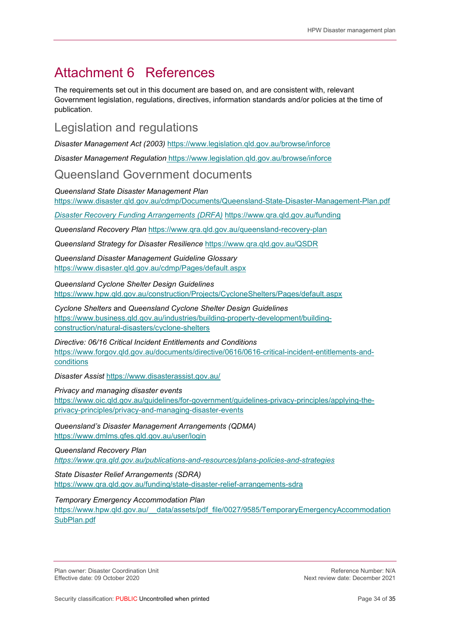## Attachment 6 References

The requirements set out in this document are based on, and are consistent with, relevant Government legislation, regulations, directives, information standards and/or policies at the time of publication.

### Legislation and regulations

Disaster Management Act (2003) https://www.legislation.qld.gov.au/browse/inforce

Disaster Management Regulation https://www.legislation.qld.gov.au/browse/inforce

#### Queensland Government documents

#### Queensland State Disaster Management Plan

https://www.disaster.qld.gov.au/cdmp/Documents/Queensland-State-Disaster-Management-Plan.pdf

Disaster Recovery Funding Arrangements (DRFA) https://www.qra.qld.gov.au/funding

Queensland Recovery Plan https://www.qra.qld.gov.au/queensland-recovery-plan

Queensland Strategy for Disaster Resilience https://www.qra.qld.gov.au/QSDR

Queensland Disaster Management Guideline Glossary https://www.disaster.qld.gov.au/cdmp/Pages/default.aspx

Queensland Cyclone Shelter Design Guidelines

https://www.hpw.qld.gov.au/construction/Projects/CycloneShelters/Pages/default.aspx

Cyclone Shelters and Queensland Cyclone Shelter Design Guidelines https://www.business.qld.gov.au/industries/building-property-development/buildingconstruction/natural-disasters/cyclone-shelters

Directive: 06/16 Critical Incident Entitlements and Conditions https://www.forgov.qld.gov.au/documents/directive/0616/0616-critical-incident-entitlements-andconditions

Disaster Assist https://www.disasterassist.gov.au/

Privacy and managing disaster events

https://www.oic.qld.gov.au/guidelines/for-government/guidelines-privacy-principles/applying-theprivacy-principles/privacy-and-managing-disaster-events

Queensland's Disaster Management Arrangements (QDMA) https://www.dmlms.qfes.qld.gov.au/user/login

Queensland Recovery Plan

https://www.qra.qld.gov.au/publications-and-resources/plans-policies-and-strategies

State Disaster Relief Arrangements (SDRA) https://www.qra.qld.gov.au/funding/state-disaster-relief-arrangements-sdra

#### Temporary Emergency Accommodation Plan

https://www.hpw.qld.gov.au/\_\_data/assets/pdf\_file/0027/9585/TemporaryEmergencyAccommodation SubPlan.pdf

Plan owner: Disaster Coordination Unit Network and the Section of the Section Perference Number: N/A<br>Reference Number: N/A Effective date: 09 October 2020